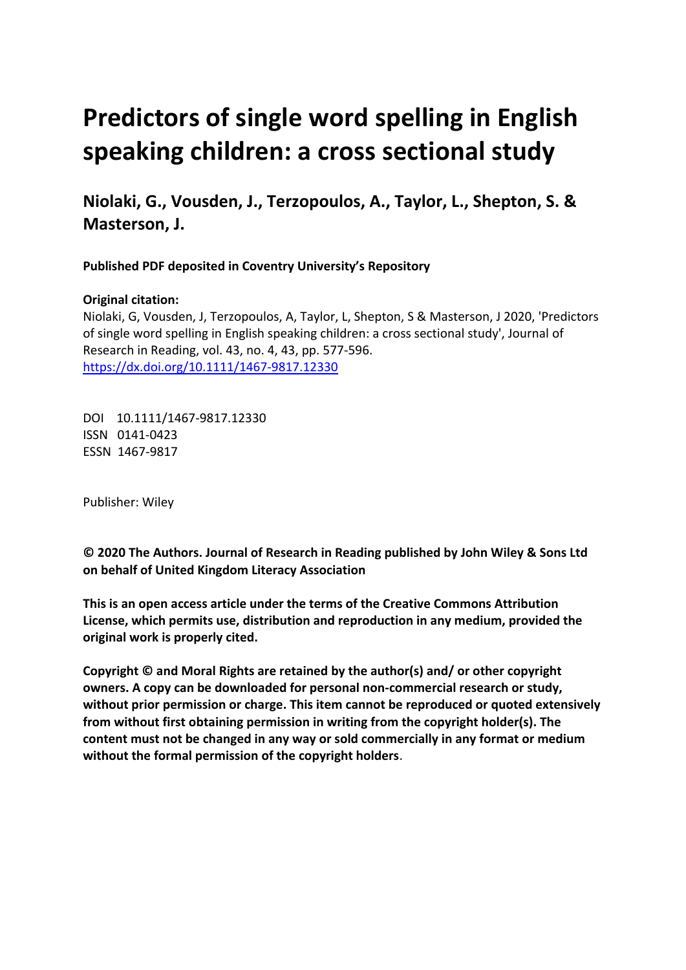# **Predictors of single word spelling in English speaking children: a cross sectional study**

**Niolaki, G., Vousden, J., Terzopoulos, A., Taylor, L., Shepton, S. & Masterson, J.** 

**Published PDF deposited in Coventry University's Repository** 

# **Original citation:**

Niolaki, G, Vousden, J, Terzopoulos, A, Taylor, L, Shepton, S & Masterson, J 2020, 'Predictors of single word spelling in English speaking children: a cross sectional study', Journal of Research in Reading, vol. 43, no. 4, 43, pp. 577-596. https://dx.doi.org/10.1111/1467-9817.12330

 DOI 10.1111/1467-9817.12330 ISSN 0141-0423 ESSN 1467-9817

Publisher: Wiley

**© 2020 The Authors. Journal of Research in Reading published by John Wiley & Sons Ltd on behalf of United Kingdom Literacy Association** 

**This is an open access article under the terms of the Creative Commons Attribution License, which permits use, distribution and reproduction in any medium, provided the original work is properly cited.** 

**Copyright © and Moral Rights are retained by the author(s) and/ or other copyright owners. A copy can be downloaded for personal non-commercial research or study, without prior permission or charge. This item cannot be reproduced or quoted extensively from without first obtaining permission in writing from the copyright holder(s). The content must not be changed in any way or sold commercially in any format or medium without the formal permission of the copyright holders**.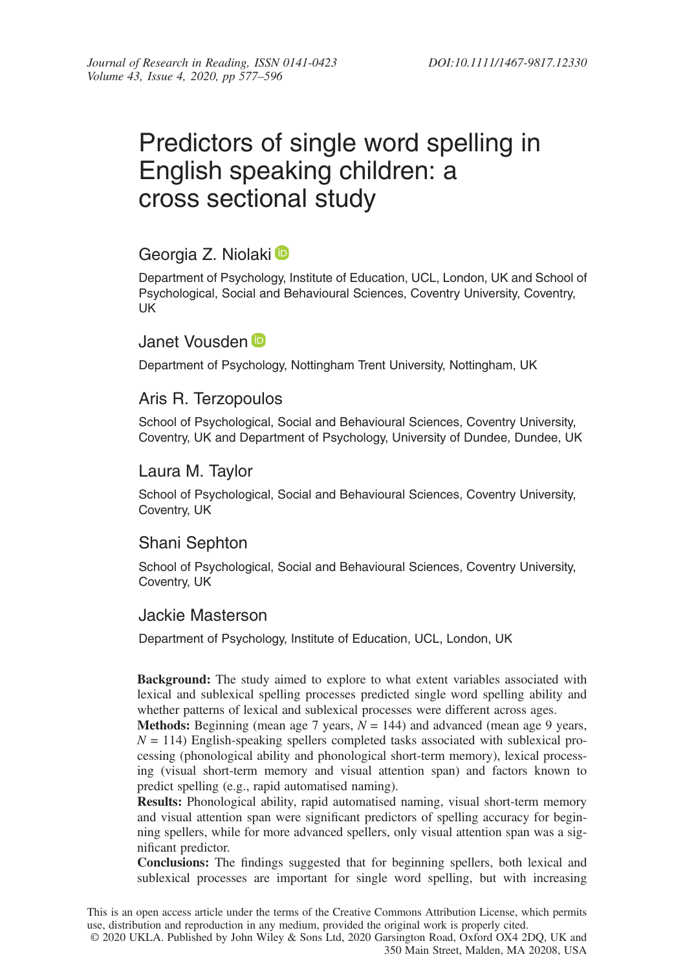# Predictors of single word spelling in English speaking children: a cross sectional study

# Georgia Z. Niolaki<sup>D</sup>

Department of Psychology, Institute of Education, UCL, London, UK and School of Psychological, Social and Behavioural Sciences, Coventry University, Coventry, UK

# Janet Vousden<sup>t D</sup>

Department of Psychology, Nottingham Trent University, Nottingham, UK

# Aris R. Terzopoulos

School of Psychological, Social and Behavioural Sciences, Coventry University, Coventry, UK and Department of Psychology, University of Dundee, Dundee, UK

## Laura M. Taylor

School of Psychological, Social and Behavioural Sciences, Coventry University, Coventry, UK

# Shani Sephton

School of Psychological, Social and Behavioural Sciences, Coventry University, Coventry, UK

### Jackie Masterson

Department of Psychology, Institute of Education, UCL, London, UK

Background: The study aimed to explore to what extent variables associated with lexical and sublexical spelling processes predicted single word spelling ability and whether patterns of lexical and sublexical processes were different across ages.

**Methods:** Beginning (mean age 7 years,  $N = 144$ ) and advanced (mean age 9 years,  $N = 114$ ) English-speaking spellers completed tasks associated with sublexical processing (phonological ability and phonological short-term memory), lexical processing (visual short-term memory and visual attention span) and factors known to predict spelling (e.g., rapid automatised naming).

Results: Phonological ability, rapid automatised naming, visual short-term memory and visual attention span were significant predictors of spelling accuracy for beginning spellers, while for more advanced spellers, only visual attention span was a significant predictor.

Conclusions: The findings suggested that for beginning spellers, both lexical and sublexical processes are important for single word spelling, but with increasing

This is an open access article under the terms of the Creative Commons [Attribution](http://creativecommons.org/licenses/by/4.0/) License, which permits use, distribution and reproduction in any medium, provided the original work is properly cited.

© 2020 UKLA. Published by John Wiley & Sons Ltd, 2020 Garsington Road, Oxford OX4 2DQ, UK and 350 Main Street, Malden, MA 20208, USA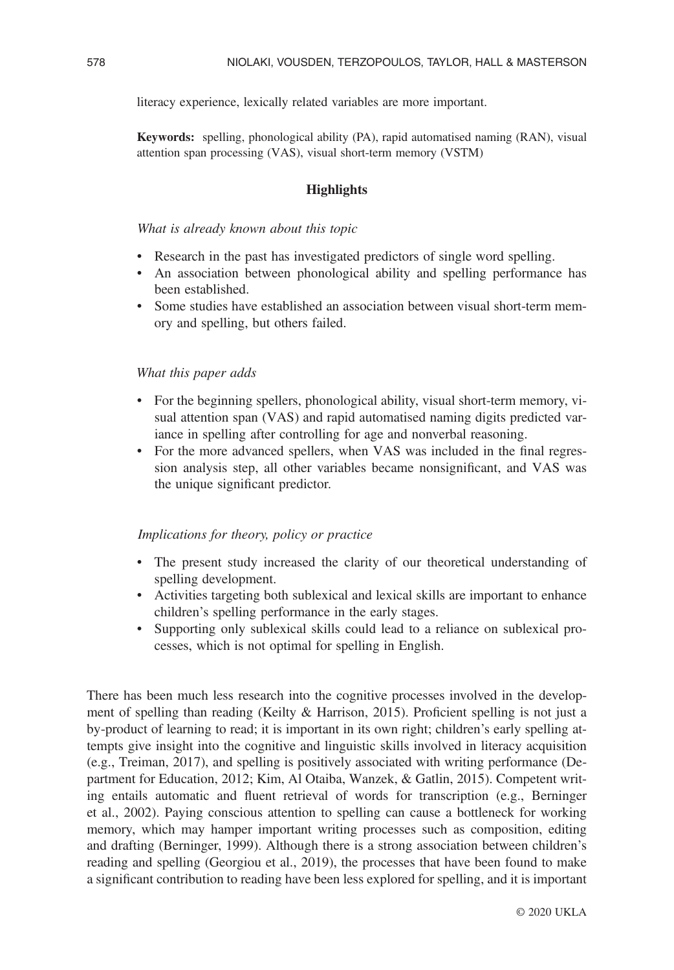literacy experience, lexically related variables are more important.

Keywords: spelling, phonological ability (PA), rapid automatised naming (RAN), visual attention span processing (VAS), visual short‐term memory (VSTM)

#### **Highlights**

What is already known about this topic

- Research in the past has investigated predictors of single word spelling.
- An association between phonological ability and spelling performance has been established.
- Some studies have established an association between visual short-term memory and spelling, but others failed.

#### What this paper adds

- For the beginning spellers, phonological ability, visual short-term memory, visual attention span (VAS) and rapid automatised naming digits predicted variance in spelling after controlling for age and nonverbal reasoning.
- For the more advanced spellers, when VAS was included in the final regression analysis step, all other variables became nonsignificant, and VAS was the unique significant predictor.

#### Implications for theory, policy or practice

- The present study increased the clarity of our theoretical understanding of spelling development.
- Activities targeting both sublexical and lexical skills are important to enhance children's spelling performance in the early stages.
- Supporting only sublexical skills could lead to a reliance on sublexical processes, which is not optimal for spelling in English.

There has been much less research into the cognitive processes involved in the development of spelling than reading (Keilty & Harrison, 2015). Proficient spelling is not just a by‐product of learning to read; it is important in its own right; children's early spelling attempts give insight into the cognitive and linguistic skills involved in literacy acquisition (e.g., Treiman, 2017), and spelling is positively associated with writing performance (Department for Education, 2012; Kim, Al Otaiba, Wanzek, & Gatlin, 2015). Competent writing entails automatic and fluent retrieval of words for transcription (e.g., Berninger et al., 2002). Paying conscious attention to spelling can cause a bottleneck for working memory, which may hamper important writing processes such as composition, editing and drafting (Berninger, 1999). Although there is a strong association between children's reading and spelling (Georgiou et al., 2019), the processes that have been found to make a significant contribution to reading have been less explored for spelling, and it is important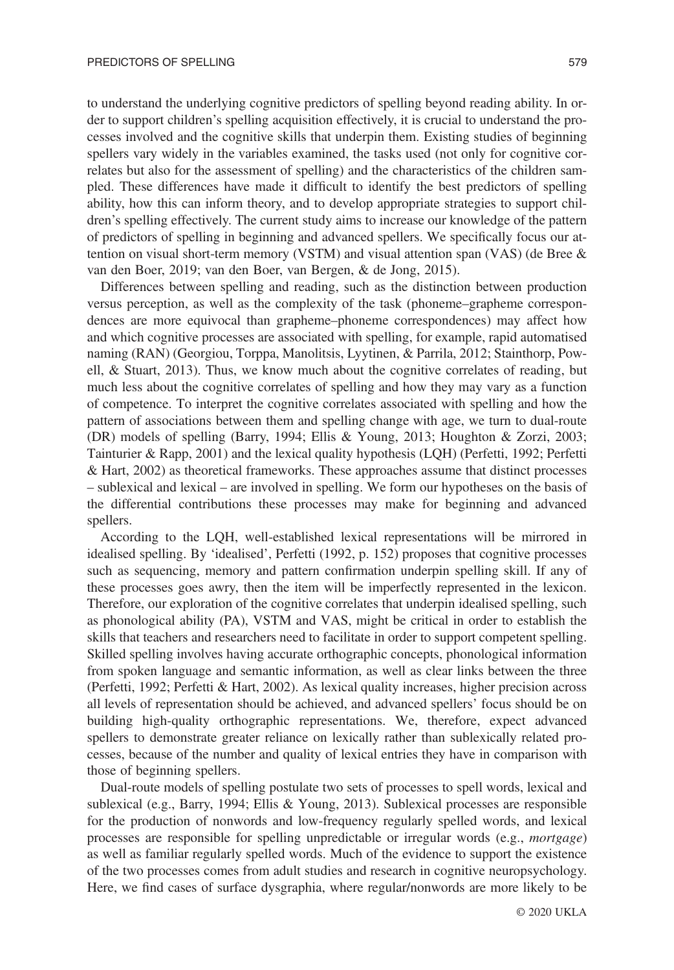to understand the underlying cognitive predictors of spelling beyond reading ability. In order to support children's spelling acquisition effectively, it is crucial to understand the processes involved and the cognitive skills that underpin them. Existing studies of beginning spellers vary widely in the variables examined, the tasks used (not only for cognitive correlates but also for the assessment of spelling) and the characteristics of the children sampled. These differences have made it difficult to identify the best predictors of spelling ability, how this can inform theory, and to develop appropriate strategies to support children's spelling effectively. The current study aims to increase our knowledge of the pattern of predictors of spelling in beginning and advanced spellers. We specifically focus our attention on visual short-term memory (VSTM) and visual attention span (VAS) (de Bree  $\&$ van den Boer, 2019; van den Boer, van Bergen, & de Jong, 2015).

Differences between spelling and reading, such as the distinction between production versus perception, as well as the complexity of the task (phoneme–grapheme correspondences are more equivocal than grapheme–phoneme correspondences) may affect how and which cognitive processes are associated with spelling, for example, rapid automatised naming (RAN) (Georgiou, Torppa, Manolitsis, Lyytinen, & Parrila, 2012; Stainthorp, Powell, & Stuart, 2013). Thus, we know much about the cognitive correlates of reading, but much less about the cognitive correlates of spelling and how they may vary as a function of competence. To interpret the cognitive correlates associated with spelling and how the pattern of associations between them and spelling change with age, we turn to dual‐route (DR) models of spelling (Barry, 1994; Ellis & Young, 2013; Houghton & Zorzi, 2003; Tainturier & Rapp, 2001) and the lexical quality hypothesis (LQH) (Perfetti, 1992; Perfetti & Hart, 2002) as theoretical frameworks. These approaches assume that distinct processes – sublexical and lexical – are involved in spelling. We form our hypotheses on the basis of the differential contributions these processes may make for beginning and advanced spellers.

According to the LQH, well‐established lexical representations will be mirrored in idealised spelling. By 'idealised', Perfetti (1992, p. 152) proposes that cognitive processes such as sequencing, memory and pattern confirmation underpin spelling skill. If any of these processes goes awry, then the item will be imperfectly represented in the lexicon. Therefore, our exploration of the cognitive correlates that underpin idealised spelling, such as phonological ability (PA), VSTM and VAS, might be critical in order to establish the skills that teachers and researchers need to facilitate in order to support competent spelling. Skilled spelling involves having accurate orthographic concepts, phonological information from spoken language and semantic information, as well as clear links between the three (Perfetti, 1992; Perfetti & Hart, 2002). As lexical quality increases, higher precision across all levels of representation should be achieved, and advanced spellers' focus should be on building high-quality orthographic representations. We, therefore, expect advanced spellers to demonstrate greater reliance on lexically rather than sublexically related processes, because of the number and quality of lexical entries they have in comparison with those of beginning spellers.

Dual‐route models of spelling postulate two sets of processes to spell words, lexical and sublexical (e.g., Barry, 1994; Ellis & Young, 2013). Sublexical processes are responsible for the production of nonwords and low-frequency regularly spelled words, and lexical processes are responsible for spelling unpredictable or irregular words (e.g., mortgage) as well as familiar regularly spelled words. Much of the evidence to support the existence of the two processes comes from adult studies and research in cognitive neuropsychology. Here, we find cases of surface dysgraphia, where regular/nonwords are more likely to be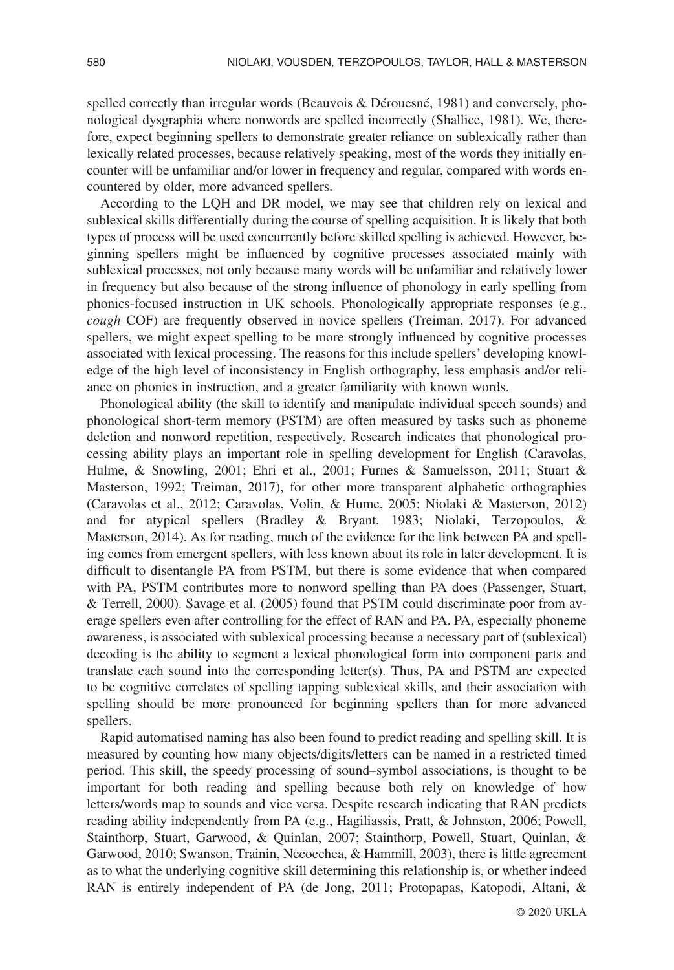spelled correctly than irregular words (Beauvois & Dérouesné, 1981) and conversely, phonological dysgraphia where nonwords are spelled incorrectly (Shallice, 1981). We, therefore, expect beginning spellers to demonstrate greater reliance on sublexically rather than lexically related processes, because relatively speaking, most of the words they initially encounter will be unfamiliar and/or lower in frequency and regular, compared with words encountered by older, more advanced spellers.

According to the LQH and DR model, we may see that children rely on lexical and sublexical skills differentially during the course of spelling acquisition. It is likely that both types of process will be used concurrently before skilled spelling is achieved. However, beginning spellers might be influenced by cognitive processes associated mainly with sublexical processes, not only because many words will be unfamiliar and relatively lower in frequency but also because of the strong influence of phonology in early spelling from phonics‐focused instruction in UK schools. Phonologically appropriate responses (e.g., cough COF) are frequently observed in novice spellers (Treiman, 2017). For advanced spellers, we might expect spelling to be more strongly influenced by cognitive processes associated with lexical processing. The reasons for this include spellers' developing knowledge of the high level of inconsistency in English orthography, less emphasis and/or reliance on phonics in instruction, and a greater familiarity with known words.

Phonological ability (the skill to identify and manipulate individual speech sounds) and phonological short‐term memory (PSTM) are often measured by tasks such as phoneme deletion and nonword repetition, respectively. Research indicates that phonological processing ability plays an important role in spelling development for English (Caravolas, Hulme, & Snowling, 2001; Ehri et al., 2001; Furnes & Samuelsson, 2011; Stuart & Masterson, 1992; Treiman, 2017), for other more transparent alphabetic orthographies (Caravolas et al., 2012; Caravolas, Volin, & Hume, 2005; Niolaki & Masterson, 2012) and for atypical spellers (Bradley & Bryant, 1983; Niolaki, Terzopoulos, & Masterson, 2014). As for reading, much of the evidence for the link between PA and spelling comes from emergent spellers, with less known about its role in later development. It is difficult to disentangle PA from PSTM, but there is some evidence that when compared with PA, PSTM contributes more to nonword spelling than PA does (Passenger, Stuart, & Terrell, 2000). Savage et al. (2005) found that PSTM could discriminate poor from average spellers even after controlling for the effect of RAN and PA. PA, especially phoneme awareness, is associated with sublexical processing because a necessary part of (sublexical) decoding is the ability to segment a lexical phonological form into component parts and translate each sound into the corresponding letter(s). Thus, PA and PSTM are expected to be cognitive correlates of spelling tapping sublexical skills, and their association with spelling should be more pronounced for beginning spellers than for more advanced spellers.

Rapid automatised naming has also been found to predict reading and spelling skill. It is measured by counting how many objects/digits/letters can be named in a restricted timed period. This skill, the speedy processing of sound–symbol associations, is thought to be important for both reading and spelling because both rely on knowledge of how letters/words map to sounds and vice versa. Despite research indicating that RAN predicts reading ability independently from PA (e.g., Hagiliassis, Pratt, & Johnston, 2006; Powell, Stainthorp, Stuart, Garwood, & Quinlan, 2007; Stainthorp, Powell, Stuart, Quinlan, & Garwood, 2010; Swanson, Trainin, Necoechea, & Hammill, 2003), there is little agreement as to what the underlying cognitive skill determining this relationship is, or whether indeed RAN is entirely independent of PA (de Jong, 2011; Protopapas, Katopodi, Altani, &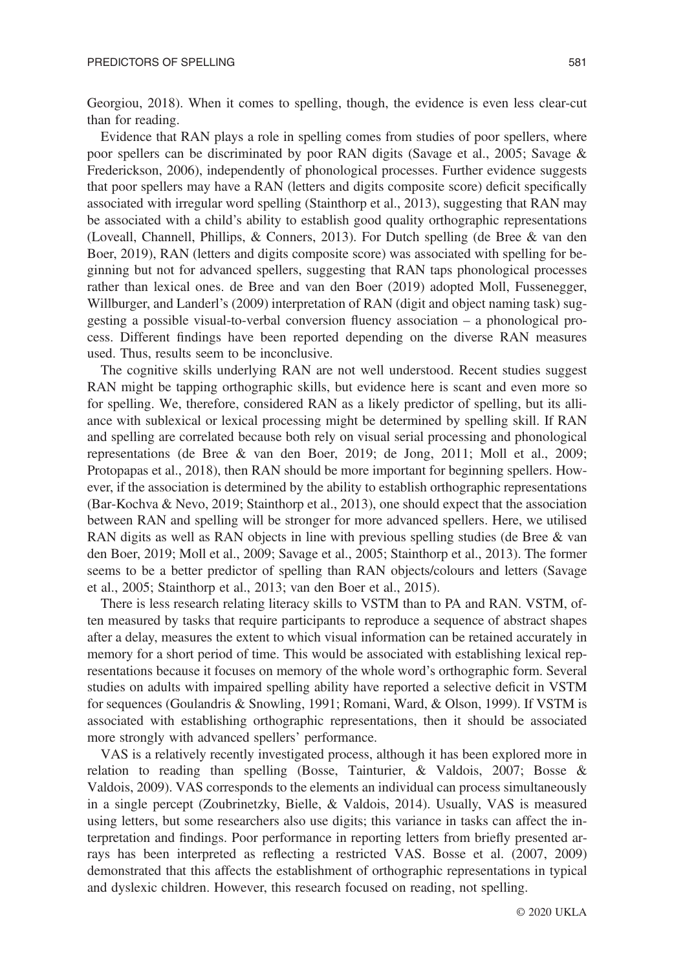Georgiou, 2018). When it comes to spelling, though, the evidence is even less clear-cut than for reading.

Evidence that RAN plays a role in spelling comes from studies of poor spellers, where poor spellers can be discriminated by poor RAN digits (Savage et al., 2005; Savage & Frederickson, 2006), independently of phonological processes. Further evidence suggests that poor spellers may have a RAN (letters and digits composite score) deficit specifically associated with irregular word spelling (Stainthorp et al., 2013), suggesting that RAN may be associated with a child's ability to establish good quality orthographic representations (Loveall, Channell, Phillips, & Conners, 2013). For Dutch spelling (de Bree & van den Boer, 2019), RAN (letters and digits composite score) was associated with spelling for beginning but not for advanced spellers, suggesting that RAN taps phonological processes rather than lexical ones. de Bree and van den Boer (2019) adopted Moll, Fussenegger, Willburger, and Landerl's (2009) interpretation of RAN (digit and object naming task) suggesting a possible visual‐to‐verbal conversion fluency association – a phonological process. Different findings have been reported depending on the diverse RAN measures used. Thus, results seem to be inconclusive.

The cognitive skills underlying RAN are not well understood. Recent studies suggest RAN might be tapping orthographic skills, but evidence here is scant and even more so for spelling. We, therefore, considered RAN as a likely predictor of spelling, but its alliance with sublexical or lexical processing might be determined by spelling skill. If RAN and spelling are correlated because both rely on visual serial processing and phonological representations (de Bree & van den Boer, 2019; de Jong, 2011; Moll et al., 2009; Protopapas et al., 2018), then RAN should be more important for beginning spellers. However, if the association is determined by the ability to establish orthographic representations (Bar‐Kochva & Nevo, 2019; Stainthorp et al., 2013), one should expect that the association between RAN and spelling will be stronger for more advanced spellers. Here, we utilised RAN digits as well as RAN objects in line with previous spelling studies (de Bree & van den Boer, 2019; Moll et al., 2009; Savage et al., 2005; Stainthorp et al., 2013). The former seems to be a better predictor of spelling than RAN objects/colours and letters (Savage et al., 2005; Stainthorp et al., 2013; van den Boer et al., 2015).

There is less research relating literacy skills to VSTM than to PA and RAN. VSTM, often measured by tasks that require participants to reproduce a sequence of abstract shapes after a delay, measures the extent to which visual information can be retained accurately in memory for a short period of time. This would be associated with establishing lexical representations because it focuses on memory of the whole word's orthographic form. Several studies on adults with impaired spelling ability have reported a selective deficit in VSTM for sequences (Goulandris & Snowling, 1991; Romani, Ward, & Olson, 1999). If VSTM is associated with establishing orthographic representations, then it should be associated more strongly with advanced spellers' performance.

VAS is a relatively recently investigated process, although it has been explored more in relation to reading than spelling (Bosse, Tainturier, & Valdois, 2007; Bosse & Valdois, 2009). VAS corresponds to the elements an individual can process simultaneously in a single percept (Zoubrinetzky, Bielle, & Valdois, 2014). Usually, VAS is measured using letters, but some researchers also use digits; this variance in tasks can affect the interpretation and findings. Poor performance in reporting letters from briefly presented arrays has been interpreted as reflecting a restricted VAS. Bosse et al. (2007, 2009) demonstrated that this affects the establishment of orthographic representations in typical and dyslexic children. However, this research focused on reading, not spelling.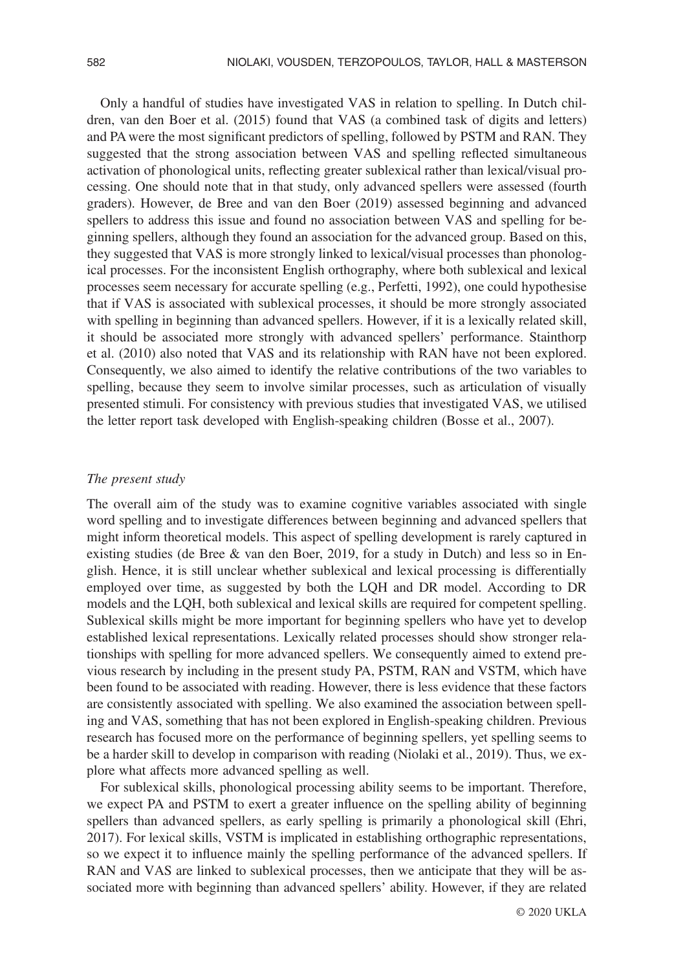Only a handful of studies have investigated VAS in relation to spelling. In Dutch children, van den Boer et al. (2015) found that VAS (a combined task of digits and letters) and PAwere the most significant predictors of spelling, followed by PSTM and RAN. They suggested that the strong association between VAS and spelling reflected simultaneous activation of phonological units, reflecting greater sublexical rather than lexical/visual processing. One should note that in that study, only advanced spellers were assessed (fourth graders). However, de Bree and van den Boer (2019) assessed beginning and advanced spellers to address this issue and found no association between VAS and spelling for beginning spellers, although they found an association for the advanced group. Based on this, they suggested that VAS is more strongly linked to lexical/visual processes than phonological processes. For the inconsistent English orthography, where both sublexical and lexical processes seem necessary for accurate spelling (e.g., Perfetti, 1992), one could hypothesise that if VAS is associated with sublexical processes, it should be more strongly associated with spelling in beginning than advanced spellers. However, if it is a lexically related skill, it should be associated more strongly with advanced spellers' performance. Stainthorp et al. (2010) also noted that VAS and its relationship with RAN have not been explored. Consequently, we also aimed to identify the relative contributions of the two variables to spelling, because they seem to involve similar processes, such as articulation of visually presented stimuli. For consistency with previous studies that investigated VAS, we utilised the letter report task developed with English‐speaking children (Bosse et al., 2007).

#### The present study

The overall aim of the study was to examine cognitive variables associated with single word spelling and to investigate differences between beginning and advanced spellers that might inform theoretical models. This aspect of spelling development is rarely captured in existing studies (de Bree & van den Boer, 2019, for a study in Dutch) and less so in English. Hence, it is still unclear whether sublexical and lexical processing is differentially employed over time, as suggested by both the LQH and DR model. According to DR models and the LQH, both sublexical and lexical skills are required for competent spelling. Sublexical skills might be more important for beginning spellers who have yet to develop established lexical representations. Lexically related processes should show stronger relationships with spelling for more advanced spellers. We consequently aimed to extend previous research by including in the present study PA, PSTM, RAN and VSTM, which have been found to be associated with reading. However, there is less evidence that these factors are consistently associated with spelling. We also examined the association between spelling and VAS, something that has not been explored in English‐speaking children. Previous research has focused more on the performance of beginning spellers, yet spelling seems to be a harder skill to develop in comparison with reading (Niolaki et al., 2019). Thus, we explore what affects more advanced spelling as well.

For sublexical skills, phonological processing ability seems to be important. Therefore, we expect PA and PSTM to exert a greater influence on the spelling ability of beginning spellers than advanced spellers, as early spelling is primarily a phonological skill (Ehri, 2017). For lexical skills, VSTM is implicated in establishing orthographic representations, so we expect it to influence mainly the spelling performance of the advanced spellers. If RAN and VAS are linked to sublexical processes, then we anticipate that they will be associated more with beginning than advanced spellers' ability. However, if they are related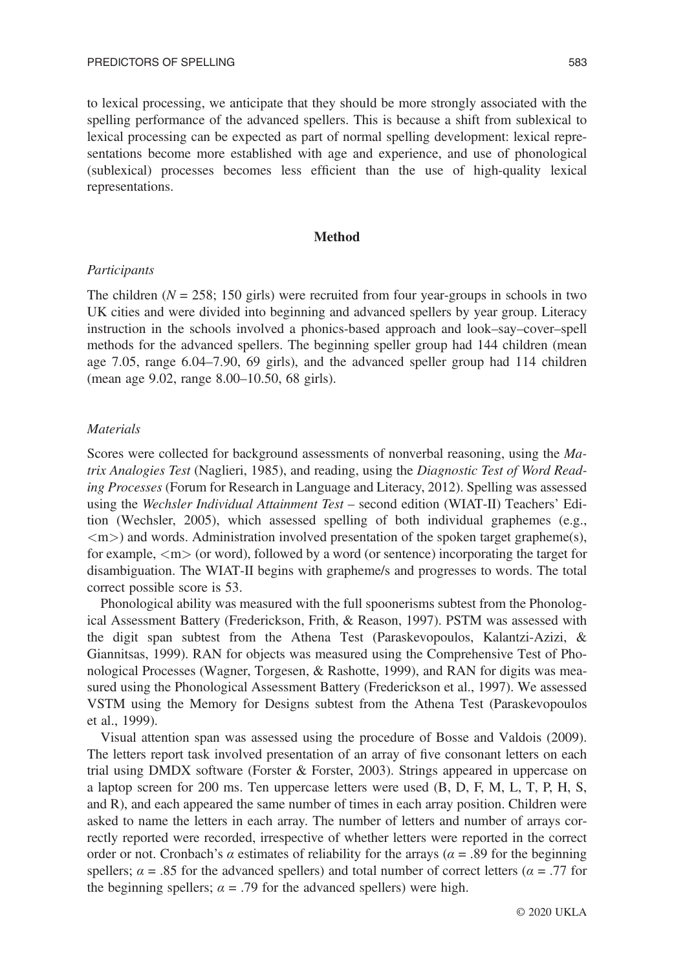to lexical processing, we anticipate that they should be more strongly associated with the spelling performance of the advanced spellers. This is because a shift from sublexical to lexical processing can be expected as part of normal spelling development: lexical representations become more established with age and experience, and use of phonological (sublexical) processes becomes less efficient than the use of high‐quality lexical representations.

#### Method

#### Participants

The children ( $N = 258$ ; 150 girls) were recruited from four year-groups in schools in two UK cities and were divided into beginning and advanced spellers by year group. Literacy instruction in the schools involved a phonics‐based approach and look–say–cover–spell methods for the advanced spellers. The beginning speller group had 144 children (mean age 7.05, range 6.04–7.90, 69 girls), and the advanced speller group had 114 children (mean age 9.02, range 8.00–10.50, 68 girls).

#### Materials

Scores were collected for background assessments of nonverbal reasoning, using the Matrix Analogies Test (Naglieri, 1985), and reading, using the Diagnostic Test of Word Reading Processes (Forum for Research in Language and Literacy, 2012). Spelling was assessed using the Wechsler Individual Attainment Test – second edition (WIAT-II) Teachers' Edition (Wechsler, 2005), which assessed spelling of both individual graphemes (e.g.,  $\langle m \rangle$  and words. Administration involved presentation of the spoken target grapheme(s), for example,  $\langle m \rangle$  (or word), followed by a word (or sentence) incorporating the target for disambiguation. The WIAT‐II begins with grapheme/s and progresses to words. The total correct possible score is 53.

Phonological ability was measured with the full spoonerisms subtest from the Phonological Assessment Battery (Frederickson, Frith, & Reason, 1997). PSTM was assessed with the digit span subtest from the Athena Test (Paraskevopoulos, Kalantzi‐Azizi, & Giannitsas, 1999). RAN for objects was measured using the Comprehensive Test of Phonological Processes (Wagner, Torgesen, & Rashotte, 1999), and RAN for digits was measured using the Phonological Assessment Battery (Frederickson et al., 1997). We assessed VSTM using the Memory for Designs subtest from the Athena Test (Paraskevopoulos et al., 1999).

Visual attention span was assessed using the procedure of Bosse and Valdois (2009). The letters report task involved presentation of an array of five consonant letters on each trial using DMDX software (Forster & Forster, 2003). Strings appeared in uppercase on a laptop screen for 200 ms. Ten uppercase letters were used (B, D, F, M, L, T, P, H, S, and R), and each appeared the same number of times in each array position. Children were asked to name the letters in each array. The number of letters and number of arrays correctly reported were recorded, irrespective of whether letters were reported in the correct order or not. Cronbach's  $\alpha$  estimates of reliability for the arrays ( $\alpha$  = .89 for the beginning spellers;  $\alpha = .85$  for the advanced spellers) and total number of correct letters ( $\alpha = .77$  for the beginning spellers;  $\alpha = .79$  for the advanced spellers) were high.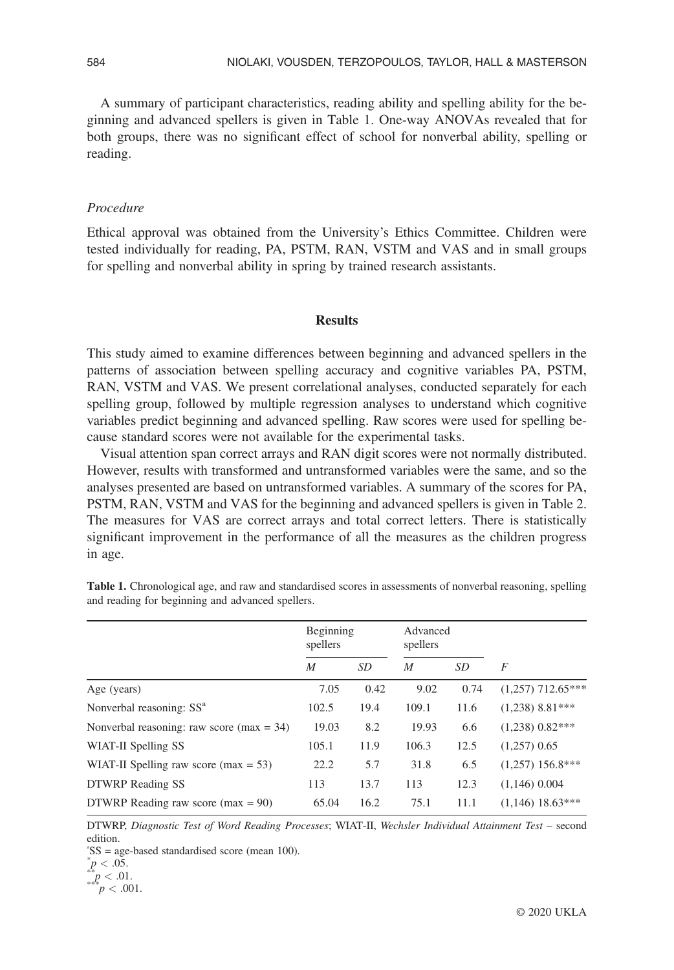A summary of participant characteristics, reading ability and spelling ability for the beginning and advanced spellers is given in Table 1. One‐way ANOVAs revealed that for both groups, there was no significant effect of school for nonverbal ability, spelling or reading.

#### Procedure

Ethical approval was obtained from the University's Ethics Committee. Children were tested individually for reading, PA, PSTM, RAN, VSTM and VAS and in small groups for spelling and nonverbal ability in spring by trained research assistants.

#### Results

This study aimed to examine differences between beginning and advanced spellers in the patterns of association between spelling accuracy and cognitive variables PA, PSTM, RAN, VSTM and VAS. We present correlational analyses, conducted separately for each spelling group, followed by multiple regression analyses to understand which cognitive variables predict beginning and advanced spelling. Raw scores were used for spelling because standard scores were not available for the experimental tasks.

Visual attention span correct arrays and RAN digit scores were not normally distributed. However, results with transformed and untransformed variables were the same, and so the analyses presented are based on untransformed variables. A summary of the scores for PA, PSTM, RAN, VSTM and VAS for the beginning and advanced spellers is given in Table 2. The measures for VAS are correct arrays and total correct letters. There is statistically significant improvement in the performance of all the measures as the children progress in age.

|                                               | spellers       | Beginning |       | Advanced  |                     |
|-----------------------------------------------|----------------|-----------|-------|-----------|---------------------|
|                                               | $\overline{M}$ | SD.       | M     | <b>SD</b> | F                   |
| Age (years)                                   | 7.05           | 0.42      | 9.02  | 0.74      | $(1,257)$ 712.65*** |
| Nonverbal reasoning: SS <sup>a</sup>          | 102.5          | 19.4      | 109.1 | 11.6      | $(1,238)$ 8.81***   |
| Nonverbal reasoning: raw score ( $max = 34$ ) | 19.03          | 8.2       | 19.93 | 6.6       | $(1,238)$ 0.82***   |
| WIAT-II Spelling SS                           | 105.1          | 11.9      | 106.3 | 12.5      | $(1,257)$ 0.65      |
| WIAT-II Spelling raw score (max $=$ 53)       | 22.2           | 5.7       | 31.8  | 6.5       | $(1,257)$ 156.8***  |
| DTWRP Reading SS                              | 113            | 13.7      | 113   | 12.3      | $(1,146)$ 0.004     |
| DTWRP Reading raw score ( $max = 90$ )        | 65.04          | 16.2      | 75.1  | 11.1      | $(1,146)$ 18.63***  |

Table 1. Chronological age, and raw and standardised scores in assessments of nonverbal reasoning, spelling and reading for beginning and advanced spellers.

DTWRP, Diagnostic Test of Word Reading Processes; WIAT‐II, Wechsler Individual Attainment Test – second edition.

 ${}^{4}SS = age$ -based standardised score (mean 100).

$$
p < .05.
$$

 $p < .01.$ <br>\*\*\*p < .001.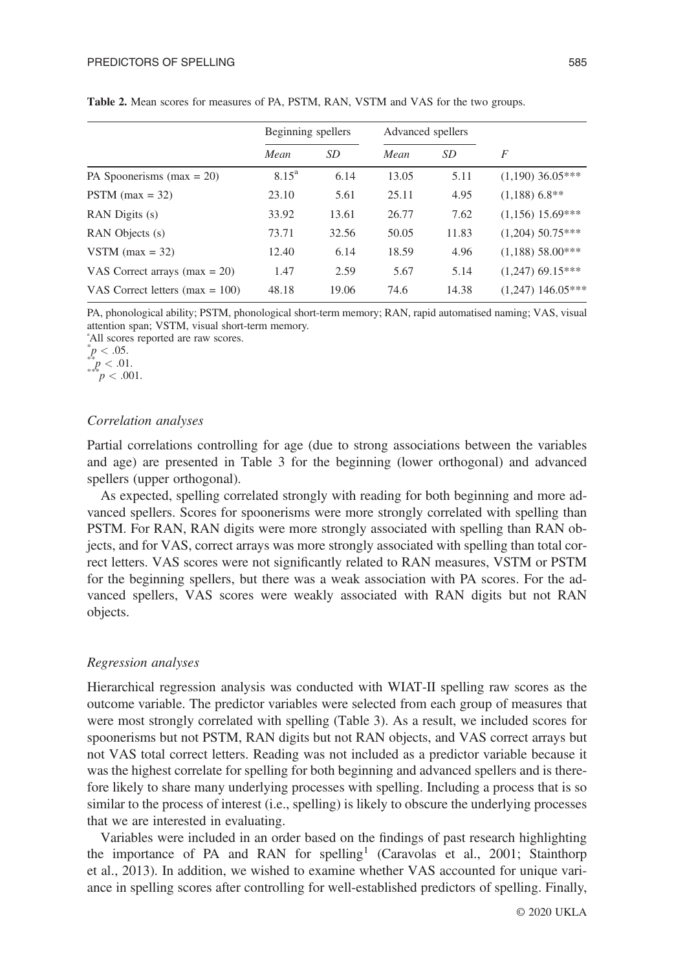|                                   | Beginning spellers |           | Advanced spellers |           |                    |  |
|-----------------------------------|--------------------|-----------|-------------------|-----------|--------------------|--|
|                                   | Mean               | <b>SD</b> | Mean              | <b>SD</b> | $\overline{F}$     |  |
| PA Spoonerisms (max $= 20$ )      | $8.15^{\rm a}$     | 6.14      | 13.05             | 5.11      | $(1,190)$ 36.05*** |  |
| $PSTM$ (max = 32)                 | 23.10              | 5.61      | 25.11             | 4.95      | $(1,188)$ 6.8**    |  |
| RAN Digits (s)                    | 33.92              | 13.61     | 26.77             | 7.62      | $(1,156)$ 15.69*** |  |
| RAN Objects (s)                   | 73.71              | 32.56     | 50.05             | 11.83     | $(1,204)$ 50.75*** |  |
| VSTM $(max = 32)$                 | 12.40              | 6.14      | 18.59             | 4.96      | $(1,188)$ 58.00*** |  |
| VAS Correct arrays ( $max = 20$ ) | 1.47               | 2.59      | 5.67              | 5.14      | $(1,247)$ 69.15*** |  |

Table 2. Mean scores for measures of PA, PSTM, RAN, VSTM and VAS for the two groups.

PA, phonological ability; PSTM, phonological short-term memory; RAN, rapid automatised naming; VAS, visual attention span; VSTM, visual short-term memory.

VAS Correct letters (max = 100) 48.18 19.06 74.6 14.38 (1,247) 146.05\*\*\*

<sup>\*</sup>All scores reported are raw scores.<br> $p < .05$ .

 $p < .01.$ <br>\*\*\*p < .001.

#### Correlation analyses

Partial correlations controlling for age (due to strong associations between the variables and age) are presented in Table 3 for the beginning (lower orthogonal) and advanced spellers (upper orthogonal).

As expected, spelling correlated strongly with reading for both beginning and more advanced spellers. Scores for spoonerisms were more strongly correlated with spelling than PSTM. For RAN, RAN digits were more strongly associated with spelling than RAN objects, and for VAS, correct arrays was more strongly associated with spelling than total correct letters. VAS scores were not significantly related to RAN measures, VSTM or PSTM for the beginning spellers, but there was a weak association with PA scores. For the advanced spellers, VAS scores were weakly associated with RAN digits but not RAN objects.

#### Regression analyses

Hierarchical regression analysis was conducted with WIAT‐II spelling raw scores as the outcome variable. The predictor variables were selected from each group of measures that were most strongly correlated with spelling (Table 3). As a result, we included scores for spoonerisms but not PSTM, RAN digits but not RAN objects, and VAS correct arrays but not VAS total correct letters. Reading was not included as a predictor variable because it was the highest correlate for spelling for both beginning and advanced spellers and is therefore likely to share many underlying processes with spelling. Including a process that is so similar to the process of interest (i.e., spelling) is likely to obscure the underlying processes that we are interested in evaluating.

Variables were included in an order based on the findings of past research highlighting the importance of PA and RAN for spelling<sup>1</sup> (Caravolas et al., 2001; Stainthorp et al., 2013). In addition, we wished to examine whether VAS accounted for unique variance in spelling scores after controlling for well‐established predictors of spelling. Finally,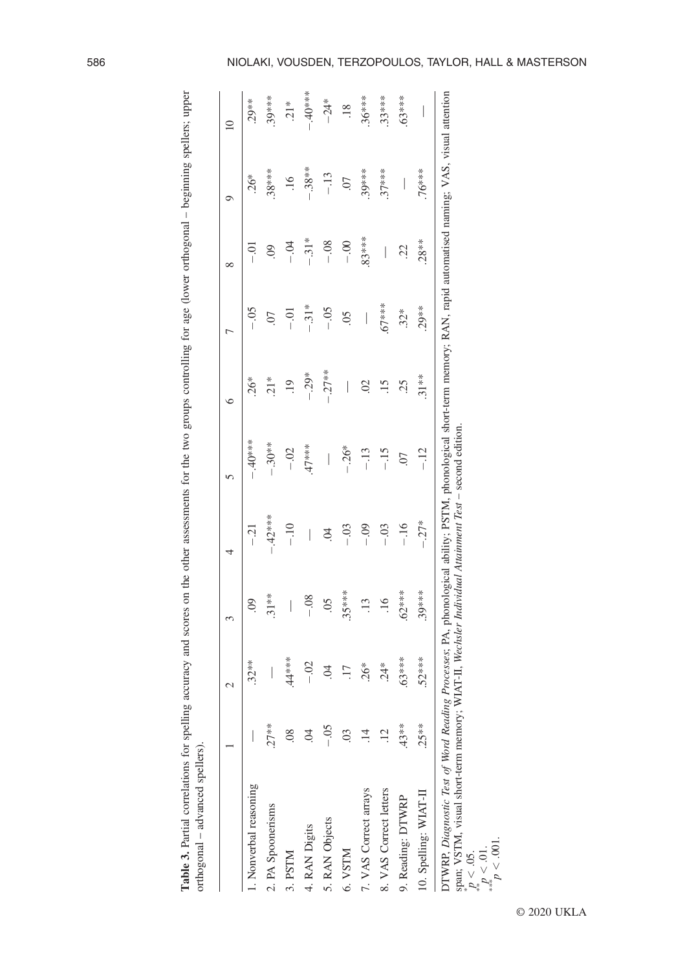| . Nonverbal reasoning  |               |            |                  |         | 40***    |          |                     |          |                                |          |
|------------------------|---------------|------------|------------------|---------|----------|----------|---------------------|----------|--------------------------------|----------|
| 2. PA Spoonerisms      | $.27***$      |            | $.31**$          | 42****  |          |          |                     |          | 38***                          | ***0*    |
| 3. PSTM                | $\frac{8}{3}$ | 44***      |                  |         |          |          |                     |          |                                |          |
| 4. RAN Digits          |               |            |                  |         | $.47***$ |          |                     |          | $-.38***$                      | $-40***$ |
| 5. RAN Objects         |               | $\ddot{9}$ |                  |         |          | $-.27**$ | $-0.5$              | $-0.8$   | Ē                              | $-24*$   |
| 6. VSTM                |               |            | $.35***$         | $-0.03$ | $-.26*$  | $\bigg $ | $\ddot{\mathrm{c}}$ | $-0.00$  | $\overline{C}$                 |          |
| 7. VAS Correct arrays  |               |            | $\ddot{.}$       |         |          | $\odot$  | $\bigg $            | $.83***$ | $.39***$                       | $.36***$ |
| 8. VAS Correct letters | $\Xi$         | $.24*$     | $\overline{.16}$ |         |          |          | 67****              |          | $37***$                        | $.33***$ |
| 9. Reading: DTWRP      | $.43**$       | 63****     | 62****           |         |          |          | $.32*$              | Sā       | $\begin{array}{c} \end{array}$ | 63****   |
| 0. Spelling: WIAT-II   | $.25***$      | $.52***$   | $.39***$         | $-27*$  |          | $.31**$  | $.29**$             | $.28**$  | $.76***$                       |          |

Table 3. Partial correlations for spelling accuracy and scores on the other assessments for the two groups controlling for age (lower orthogonal - beginning spellers; upper Table 3. Partial correlations for spelling accuracy and scores on the other assessments for the two groups controlling for age (lower orthogonal – beginning spellers; upper orthogonal - advanced spellers). orthogonal – advanced spellers).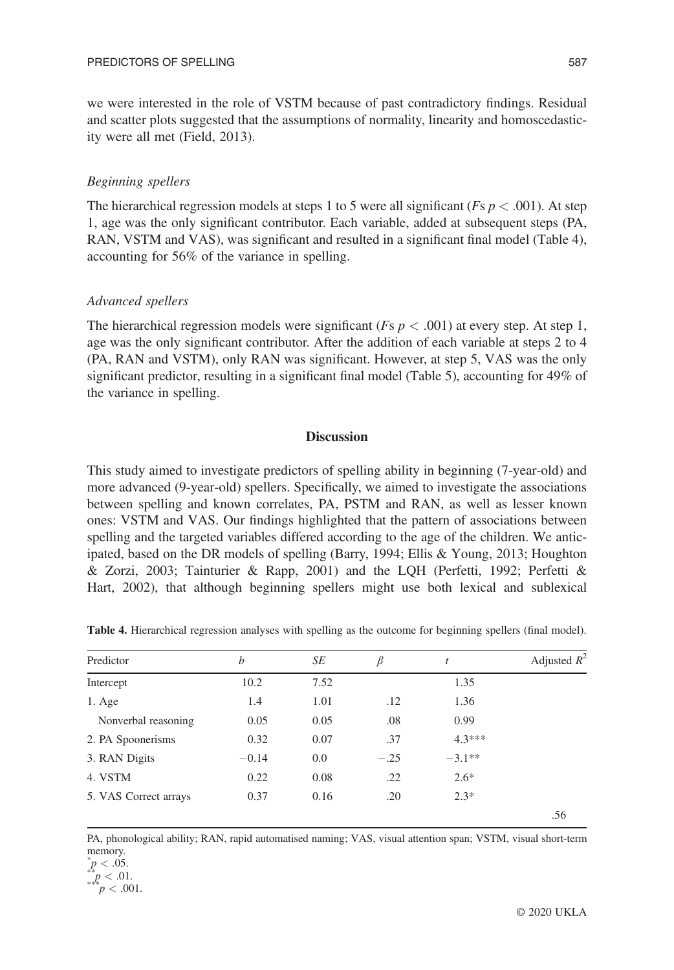we were interested in the role of VSTM because of past contradictory findings. Residual and scatter plots suggested that the assumptions of normality, linearity and homoscedasticity were all met (Field, 2013).

#### Beginning spellers

The hierarchical regression models at steps 1 to 5 were all significant ( $Fs$   $p$  < .001). At step 1, age was the only significant contributor. Each variable, added at subsequent steps (PA, RAN, VSTM and VAS), was significant and resulted in a significant final model (Table 4), accounting for 56% of the variance in spelling.

#### Advanced spellers

The hierarchical regression models were significant (Fs  $p < .001$ ) at every step. At step 1, age was the only significant contributor. After the addition of each variable at steps 2 to 4 (PA, RAN and VSTM), only RAN was significant. However, at step 5, VAS was the only significant predictor, resulting in a significant final model (Table 5), accounting for 49% of the variance in spelling.

#### **Discussion**

This study aimed to investigate predictors of spelling ability in beginning (7‐year‐old) and more advanced (9-year-old) spellers. Specifically, we aimed to investigate the associations between spelling and known correlates, PA, PSTM and RAN, as well as lesser known ones: VSTM and VAS. Our findings highlighted that the pattern of associations between spelling and the targeted variables differed according to the age of the children. We anticipated, based on the DR models of spelling (Barry, 1994; Ellis & Young, 2013; Houghton & Zorzi, 2003; Tainturier & Rapp, 2001) and the LQH (Perfetti, 1992; Perfetti & Hart, 2002), that although beginning spellers might use both lexical and sublexical

| Predictor             | b       | SE   | β      | t        | Adjusted $R^2$ |
|-----------------------|---------|------|--------|----------|----------------|
| Intercept             | 10.2    | 7.52 |        | 1.35     |                |
| $1. \text{Age}$       | 1.4     | 1.01 | .12    | 1.36     |                |
| Nonverbal reasoning   | 0.05    | 0.05 | .08    | 0.99     |                |
| 2. PA Spoonerisms     | 0.32    | 0.07 | .37    | $4.3***$ |                |
| 3. RAN Digits         | $-0.14$ | 0.0  | $-.25$ | $-3.1**$ |                |
| 4. VSTM               | 0.22    | 0.08 | .22    | $2.6*$   |                |
| 5. VAS Correct arrays | 0.37    | 0.16 | .20    | $2.3*$   |                |
|                       |         |      |        |          | .56            |

Table 4. Hierarchical regression analyses with spelling as the outcome for beginning spellers (final model).

PA, phonological ability; RAN, rapid automatised naming; VAS, visual attention span; VSTM, visual short-term memory.

 $p < .05$ .

 $\sum_{n=1}^{\infty} p < .01.$ <br> $p < .001.$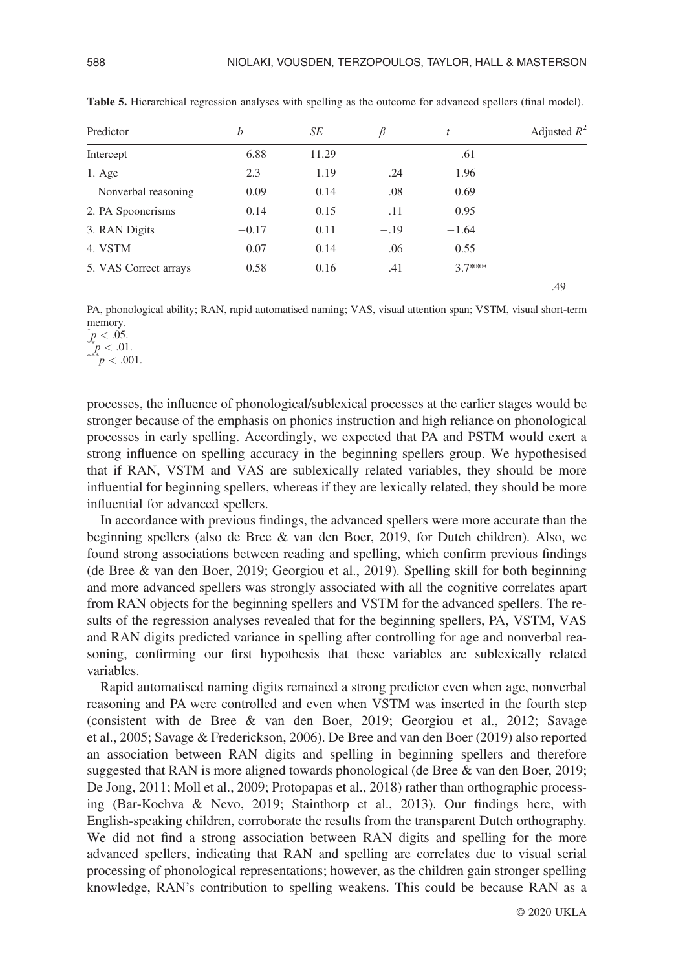| Predictor             | b       | SE    | β      | $\mathfrak{t}$ | Adjusted $R^2$ |
|-----------------------|---------|-------|--------|----------------|----------------|
| Intercept             | 6.88    | 11.29 |        | .61            |                |
| $1. \text{Age}$       | 2.3     | 1.19  | .24    | 1.96           |                |
| Nonverbal reasoning   | 0.09    | 0.14  | .08    | 0.69           |                |
| 2. PA Spoonerisms     | 0.14    | 0.15  | .11    | 0.95           |                |
| 3. RAN Digits         | $-0.17$ | 0.11  | $-.19$ | $-1.64$        |                |
| 4. VSTM               | 0.07    | 0.14  | .06    | 0.55           |                |
| 5. VAS Correct arrays | 0.58    | 0.16  | .41    | $3.7***$       |                |
|                       |         |       |        |                | .49            |

Table 5. Hierarchical regression analyses with spelling as the outcome for advanced spellers (final model).

PA, phonological ability; RAN, rapid automatised naming; VAS, visual attention span; VSTM, visual short-term memory.

 $p < .05$ .

 $\label{eq:1} \begin{array}{l} \stackrel{**}{p}<.01.\\ \stackrel{***}{p}<.001. \end{array}$ 

processes, the influence of phonological/sublexical processes at the earlier stages would be stronger because of the emphasis on phonics instruction and high reliance on phonological processes in early spelling. Accordingly, we expected that PA and PSTM would exert a strong influence on spelling accuracy in the beginning spellers group. We hypothesised that if RAN, VSTM and VAS are sublexically related variables, they should be more influential for beginning spellers, whereas if they are lexically related, they should be more influential for advanced spellers.

In accordance with previous findings, the advanced spellers were more accurate than the beginning spellers (also de Bree & van den Boer, 2019, for Dutch children). Also, we found strong associations between reading and spelling, which confirm previous findings (de Bree & van den Boer, 2019; Georgiou et al., 2019). Spelling skill for both beginning and more advanced spellers was strongly associated with all the cognitive correlates apart from RAN objects for the beginning spellers and VSTM for the advanced spellers. The results of the regression analyses revealed that for the beginning spellers, PA, VSTM, VAS and RAN digits predicted variance in spelling after controlling for age and nonverbal reasoning, confirming our first hypothesis that these variables are sublexically related variables.

Rapid automatised naming digits remained a strong predictor even when age, nonverbal reasoning and PA were controlled and even when VSTM was inserted in the fourth step (consistent with de Bree & van den Boer, 2019; Georgiou et al., 2012; Savage et al., 2005; Savage & Frederickson, 2006). De Bree and van den Boer (2019) also reported an association between RAN digits and spelling in beginning spellers and therefore suggested that RAN is more aligned towards phonological (de Bree & van den Boer, 2019; De Jong, 2011; Moll et al., 2009; Protopapas et al., 2018) rather than orthographic processing (Bar‐Kochva & Nevo, 2019; Stainthorp et al., 2013). Our findings here, with English‐speaking children, corroborate the results from the transparent Dutch orthography. We did not find a strong association between RAN digits and spelling for the more advanced spellers, indicating that RAN and spelling are correlates due to visual serial processing of phonological representations; however, as the children gain stronger spelling knowledge, RAN's contribution to spelling weakens. This could be because RAN as a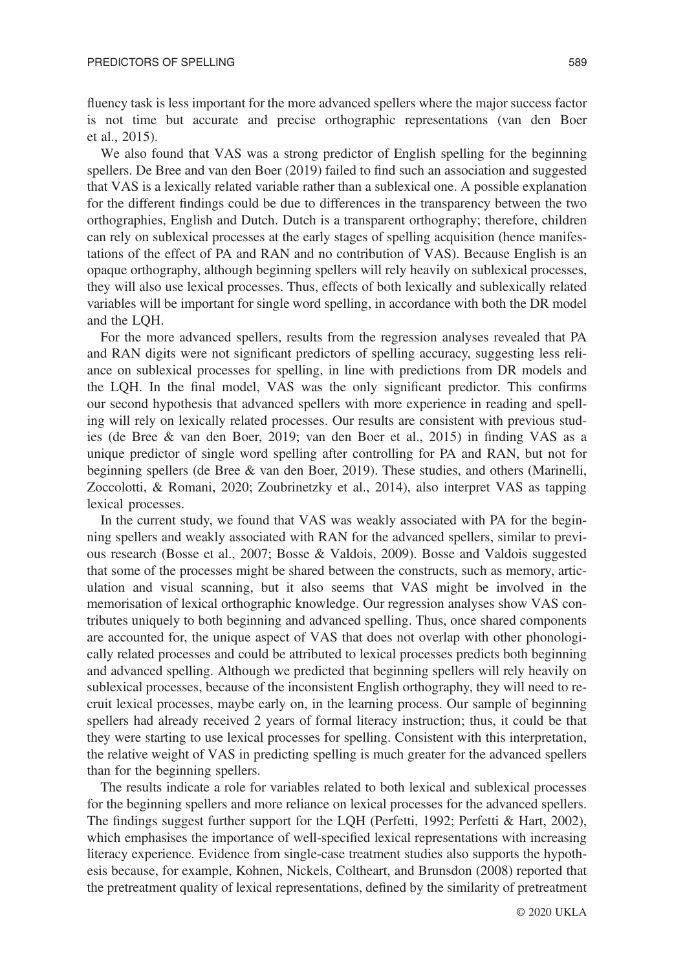fluency task is less important for the more advanced spellers where the major success factor is not time but accurate and precise orthographic representations (van den Boer et al., 2015).

We also found that VAS was a strong predictor of English spelling for the beginning spellers. De Bree and van den Boer (2019) failed to find such an association and suggested that VAS is a lexically related variable rather than a sublexical one. A possible explanation for the different findings could be due to differences in the transparency between the two orthographies, English and Dutch. Dutch is a transparent orthography; therefore, children can rely on sublexical processes at the early stages of spelling acquisition (hence manifestations of the effect of PA and RAN and no contribution of VAS). Because English is an opaque orthography, although beginning spellers will rely heavily on sublexical processes, they will also use lexical processes. Thus, effects of both lexically and sublexically related variables will be important for single word spelling, in accordance with both the DR model and the LQH.

For the more advanced spellers, results from the regression analyses revealed that PA and RAN digits were not significant predictors of spelling accuracy, suggesting less reliance on sublexical processes for spelling, in line with predictions from DR models and the LQH. In the final model, VAS was the only significant predictor. This confirms our second hypothesis that advanced spellers with more experience in reading and spelling will rely on lexically related processes. Our results are consistent with previous studies (de Bree & van den Boer, 2019; van den Boer et al., 2015) in finding VAS as a unique predictor of single word spelling after controlling for PA and RAN, but not for beginning spellers (de Bree & van den Boer, 2019). These studies, and others (Marinelli, Zoccolotti, & Romani, 2020; Zoubrinetzky et al., 2014), also interpret VAS as tapping lexical processes.

In the current study, we found that VAS was weakly associated with PA for the beginning spellers and weakly associated with RAN for the advanced spellers, similar to previous research (Bosse et al., 2007; Bosse & Valdois, 2009). Bosse and Valdois suggested that some of the processes might be shared between the constructs, such as memory, articulation and visual scanning, but it also seems that VAS might be involved in the memorisation of lexical orthographic knowledge. Our regression analyses show VAS contributes uniquely to both beginning and advanced spelling. Thus, once shared components are accounted for, the unique aspect of VAS that does not overlap with other phonologically related processes and could be attributed to lexical processes predicts both beginning and advanced spelling. Although we predicted that beginning spellers will rely heavily on sublexical processes, because of the inconsistent English orthography, they will need to recruit lexical processes, maybe early on, in the learning process. Our sample of beginning spellers had already received 2 years of formal literacy instruction; thus, it could be that they were starting to use lexical processes for spelling. Consistent with this interpretation, the relative weight of VAS in predicting spelling is much greater for the advanced spellers than for the beginning spellers.

The results indicate a role for variables related to both lexical and sublexical processes for the beginning spellers and more reliance on lexical processes for the advanced spellers. The findings suggest further support for the LQH (Perfetti, 1992; Perfetti & Hart, 2002), which emphasises the importance of well-specified lexical representations with increasing literacy experience. Evidence from single‐case treatment studies also supports the hypothesis because, for example, Kohnen, Nickels, Coltheart, and Brunsdon (2008) reported that the pretreatment quality of lexical representations, defined by the similarity of pretreatment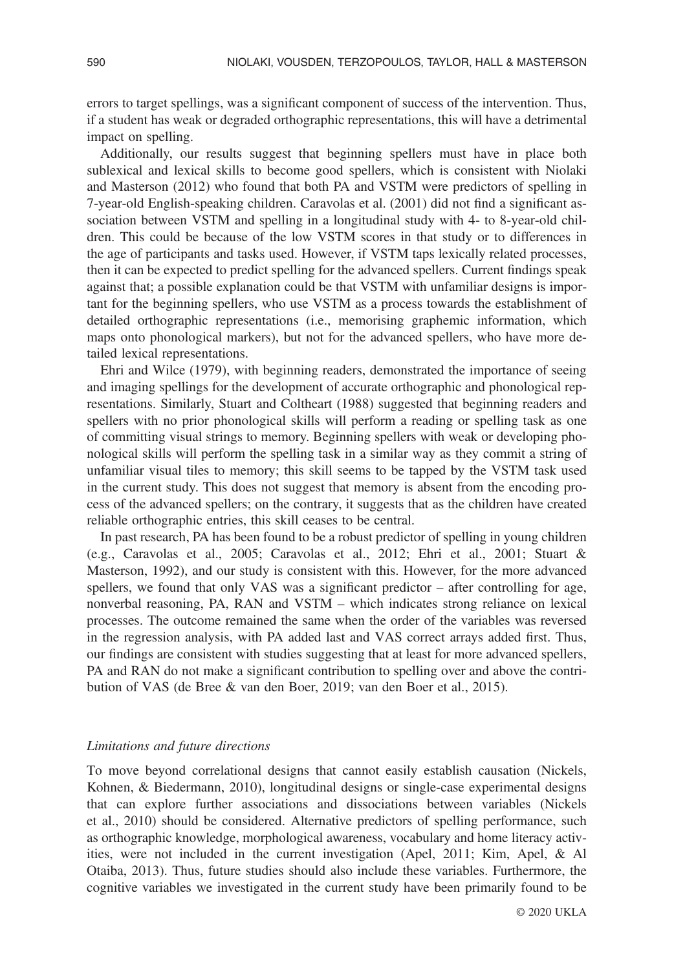errors to target spellings, was a significant component of success of the intervention. Thus, if a student has weak or degraded orthographic representations, this will have a detrimental impact on spelling.

Additionally, our results suggest that beginning spellers must have in place both sublexical and lexical skills to become good spellers, which is consistent with Niolaki and Masterson (2012) who found that both PA and VSTM were predictors of spelling in 7‐year‐old English‐speaking children. Caravolas et al. (2001) did not find a significant association between VSTM and spelling in a longitudinal study with 4- to 8-year-old children. This could be because of the low VSTM scores in that study or to differences in the age of participants and tasks used. However, if VSTM taps lexically related processes, then it can be expected to predict spelling for the advanced spellers. Current findings speak against that; a possible explanation could be that VSTM with unfamiliar designs is important for the beginning spellers, who use VSTM as a process towards the establishment of detailed orthographic representations (i.e., memorising graphemic information, which maps onto phonological markers), but not for the advanced spellers, who have more detailed lexical representations.

Ehri and Wilce (1979), with beginning readers, demonstrated the importance of seeing and imaging spellings for the development of accurate orthographic and phonological representations. Similarly, Stuart and Coltheart (1988) suggested that beginning readers and spellers with no prior phonological skills will perform a reading or spelling task as one of committing visual strings to memory. Beginning spellers with weak or developing phonological skills will perform the spelling task in a similar way as they commit a string of unfamiliar visual tiles to memory; this skill seems to be tapped by the VSTM task used in the current study. This does not suggest that memory is absent from the encoding process of the advanced spellers; on the contrary, it suggests that as the children have created reliable orthographic entries, this skill ceases to be central.

In past research, PA has been found to be a robust predictor of spelling in young children (e.g., Caravolas et al., 2005; Caravolas et al., 2012; Ehri et al., 2001; Stuart & Masterson, 1992), and our study is consistent with this. However, for the more advanced spellers, we found that only VAS was a significant predictor – after controlling for age, nonverbal reasoning, PA, RAN and VSTM – which indicates strong reliance on lexical processes. The outcome remained the same when the order of the variables was reversed in the regression analysis, with PA added last and VAS correct arrays added first. Thus, our findings are consistent with studies suggesting that at least for more advanced spellers, PA and RAN do not make a significant contribution to spelling over and above the contribution of VAS (de Bree & van den Boer, 2019; van den Boer et al., 2015).

#### Limitations and future directions

To move beyond correlational designs that cannot easily establish causation (Nickels, Kohnen, & Biedermann, 2010), longitudinal designs or single‐case experimental designs that can explore further associations and dissociations between variables (Nickels et al., 2010) should be considered. Alternative predictors of spelling performance, such as orthographic knowledge, morphological awareness, vocabulary and home literacy activities, were not included in the current investigation (Apel, 2011; Kim, Apel, & Al Otaiba, 2013). Thus, future studies should also include these variables. Furthermore, the cognitive variables we investigated in the current study have been primarily found to be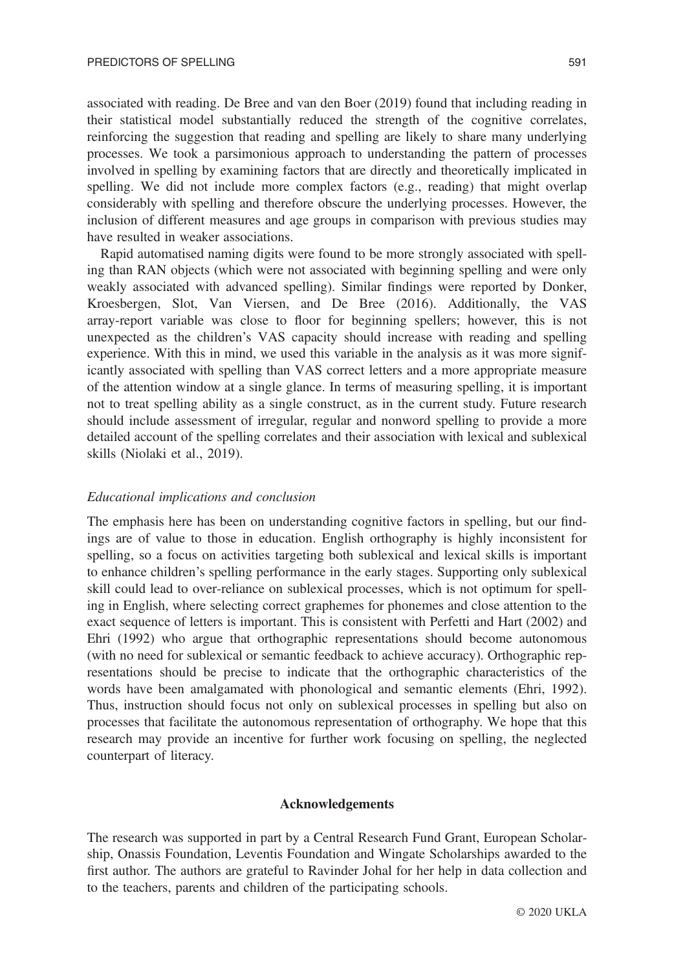associated with reading. De Bree and van den Boer (2019) found that including reading in their statistical model substantially reduced the strength of the cognitive correlates, reinforcing the suggestion that reading and spelling are likely to share many underlying processes. We took a parsimonious approach to understanding the pattern of processes involved in spelling by examining factors that are directly and theoretically implicated in spelling. We did not include more complex factors (e.g., reading) that might overlap considerably with spelling and therefore obscure the underlying processes. However, the inclusion of different measures and age groups in comparison with previous studies may have resulted in weaker associations.

Rapid automatised naming digits were found to be more strongly associated with spelling than RAN objects (which were not associated with beginning spelling and were only weakly associated with advanced spelling). Similar findings were reported by Donker, Kroesbergen, Slot, Van Viersen, and De Bree (2016). Additionally, the VAS array‐report variable was close to floor for beginning spellers; however, this is not unexpected as the children's VAS capacity should increase with reading and spelling experience. With this in mind, we used this variable in the analysis as it was more significantly associated with spelling than VAS correct letters and a more appropriate measure of the attention window at a single glance. In terms of measuring spelling, it is important not to treat spelling ability as a single construct, as in the current study. Future research should include assessment of irregular, regular and nonword spelling to provide a more detailed account of the spelling correlates and their association with lexical and sublexical skills (Niolaki et al., 2019).

#### Educational implications and conclusion

The emphasis here has been on understanding cognitive factors in spelling, but our findings are of value to those in education. English orthography is highly inconsistent for spelling, so a focus on activities targeting both sublexical and lexical skills is important to enhance children's spelling performance in the early stages. Supporting only sublexical skill could lead to over‐reliance on sublexical processes, which is not optimum for spelling in English, where selecting correct graphemes for phonemes and close attention to the exact sequence of letters is important. This is consistent with Perfetti and Hart (2002) and Ehri (1992) who argue that orthographic representations should become autonomous (with no need for sublexical or semantic feedback to achieve accuracy). Orthographic representations should be precise to indicate that the orthographic characteristics of the words have been amalgamated with phonological and semantic elements (Ehri, 1992). Thus, instruction should focus not only on sublexical processes in spelling but also on processes that facilitate the autonomous representation of orthography. We hope that this research may provide an incentive for further work focusing on spelling, the neglected counterpart of literacy.

#### Acknowledgements

The research was supported in part by a Central Research Fund Grant, European Scholarship, Onassis Foundation, Leventis Foundation and Wingate Scholarships awarded to the first author. The authors are grateful to Ravinder Johal for her help in data collection and to the teachers, parents and children of the participating schools.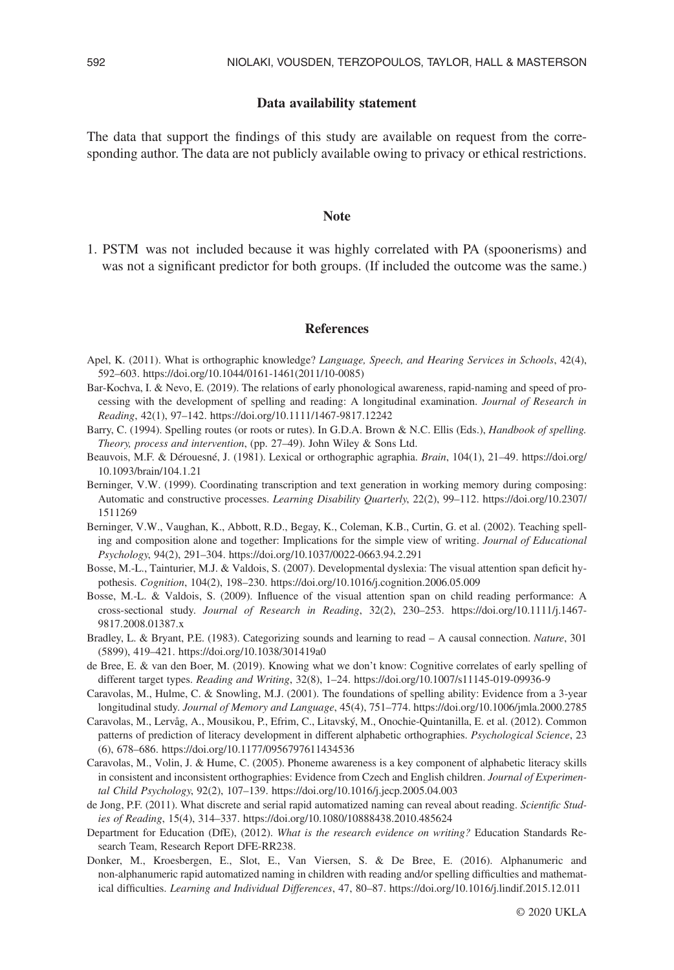#### Data availability statement

The data that support the findings of this study are available on request from the corresponding author. The data are not publicly available owing to privacy or ethical restrictions.

#### Note

1. PSTM was not included because it was highly correlated with PA (spoonerisms) and was not a significant predictor for both groups. (If included the outcome was the same.)

#### References

- Apel, K. (2011). What is orthographic knowledge? Language, Speech, and Hearing Services in Schools, 42(4), 592–603. [https://doi.org/10.1044/0161-1461\(2011/10-0085\)](https://doi.org/10.1044/0161-1461(2011/10-0085))
- Bar-Kochva, I. & Nevo, E. (2019). The relations of early phonological awareness, rapid-naming and speed of processing with the development of spelling and reading: A longitudinal examination. Journal of Research in Reading, 42(1), 97–142. <https://doi.org/10.1111/1467-9817.12242>
- Barry, C. (1994). Spelling routes (or roots or rutes). In G.D.A. Brown & N.C. Ellis (Eds.), Handbook of spelling. Theory, process and intervention, (pp. 27–49). John Wiley & Sons Ltd.
- Beauvois, M.F. & Dérouesné, J. (1981). Lexical or orthographic agraphia. Brain, 104(1), 21–49. [https://doi.org/](https://doi.org/10.1093/brain/104.1.21) [10.1093/brain/104.1.21](https://doi.org/10.1093/brain/104.1.21)
- Berninger, V.W. (1999). Coordinating transcription and text generation in working memory during composing: Automatic and constructive processes. Learning Disability Quarterly, 22(2), 99–112. [https://doi.org/10.2307/](https://doi.org/10.2307/1511269) [1511269](https://doi.org/10.2307/1511269)
- Berninger, V.W., Vaughan, K., Abbott, R.D., Begay, K., Coleman, K.B., Curtin, G. et al. (2002). Teaching spelling and composition alone and together: Implications for the simple view of writing. Journal of Educational Psychology, 94(2), 291–304. <https://doi.org/10.1037/0022-0663.94.2.291>
- Bosse, M.‐L., Tainturier, M.J. & Valdois, S. (2007). Developmental dyslexia: The visual attention span deficit hypothesis. Cognition, 104(2), 198–230. <https://doi.org/10.1016/j.cognition.2006.05.009>
- Bosse, M.‐L. & Valdois, S. (2009). Influence of the visual attention span on child reading performance: A cross‐sectional study. Journal of Research in Reading, 32(2), 230–253. [https://doi.org/10.1111/j.1467-](https://doi.org/10.1111/j.1467-9817.2008.01387.x) [9817.2008.01387.x](https://doi.org/10.1111/j.1467-9817.2008.01387.x)
- Bradley, L. & Bryant, P.E. (1983). Categorizing sounds and learning to read A causal connection. Nature, 301 (5899), 419–421. <https://doi.org/10.1038/301419a0>
- de Bree, E. & van den Boer, M. (2019). Knowing what we don't know: Cognitive correlates of early spelling of different target types. Reading and Writing, 32(8), 1–24. <https://doi.org/10.1007/s11145-019-09936-9>
- Caravolas, M., Hulme, C. & Snowling, M.J. (2001). The foundations of spelling ability: Evidence from a 3‐year longitudinal study. Journal of Memory and Language, 45(4), 751–774. <https://doi.org/10.1006/jmla.2000.2785>
- Caravolas, M., Lervåg, A., Mousikou, P., Efrim, C., Litavský, M., Onochie‐Quintanilla, E. et al. (2012). Common patterns of prediction of literacy development in different alphabetic orthographies. Psychological Science, 23 (6), 678–686. <https://doi.org/10.1177/0956797611434536>
- Caravolas, M., Volin, J. & Hume, C. (2005). Phoneme awareness is a key component of alphabetic literacy skills in consistent and inconsistent orthographies: Evidence from Czech and English children. Journal of Experimental Child Psychology, 92(2), 107–139. <https://doi.org/10.1016/j.jecp.2005.04.003>
- de Jong, P.F. (2011). What discrete and serial rapid automatized naming can reveal about reading. Scientific Studies of Reading, 15(4), 314–337. <https://doi.org/10.1080/10888438.2010.485624>
- Department for Education (DfE), (2012). What is the research evidence on writing? Education Standards Research Team, Research Report DFE‐RR238.
- Donker, M., Kroesbergen, E., Slot, E., Van Viersen, S. & De Bree, E. (2016). Alphanumeric and non‐alphanumeric rapid automatized naming in children with reading and/or spelling difficulties and mathematical difficulties. Learning and Individual Differences, 47, 80–87. <https://doi.org/10.1016/j.lindif.2015.12.011>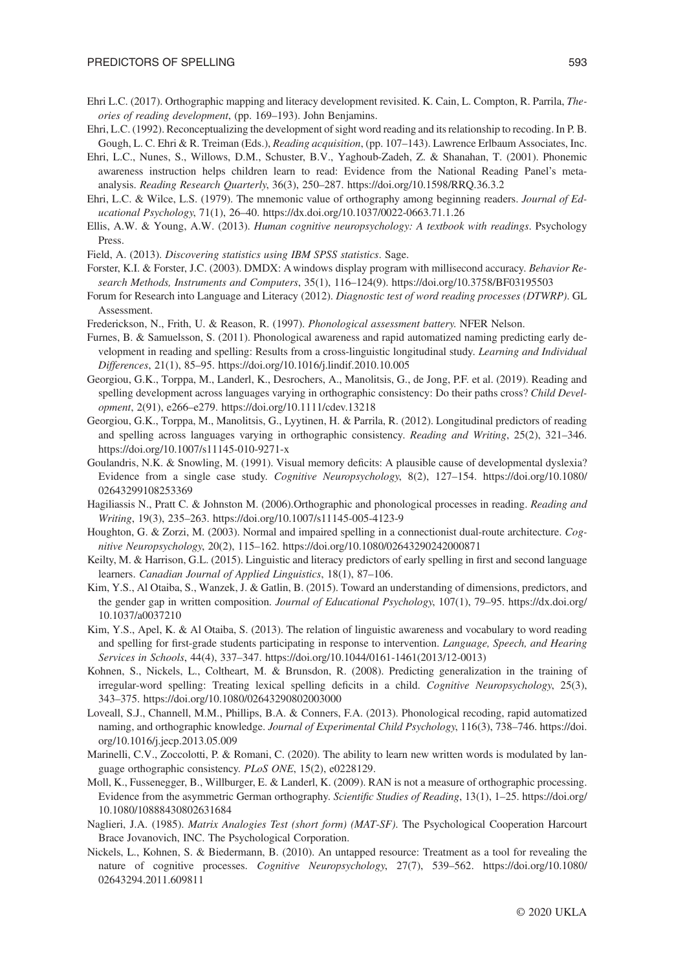- Ehri L.C. (2017). Orthographic mapping and literacy development revisited. K. Cain, L. Compton, R. Parrila, Theories of reading development, (pp. 169–193). John Benjamins.
- Ehri, L.C. (1992). Reconceptualizing the development ofsight word reading and itsrelationship to recoding. In P. B. Gough, L. C. Ehri & R. Treiman (Eds.), *Reading acquisition*, (pp. 107–143). Lawrence Erlbaum Associates, Inc.
- Ehri, L.C., Nunes, S., Willows, D.M., Schuster, B.V., Yaghoub‐Zadeh, Z. & Shanahan, T. (2001). Phonemic awareness instruction helps children learn to read: Evidence from the National Reading Panel's metaanalysis. Reading Research Quarterly, 36(3), 250–287. <https://doi.org/10.1598/RRQ.36.3.2>
- Ehri, L.C. & Wilce, L.S. (1979). The mnemonic value of orthography among beginning readers. Journal of Educational Psychology, 71(1), 26–40. <https://dx.doi.org/10.1037/0022-0663.71.1.26>
- Ellis, A.W. & Young, A.W. (2013). Human cognitive neuropsychology: A textbook with readings. Psychology Press.
- Field, A. (2013). Discovering statistics using IBM SPSS statistics. Sage.
- Forster, K.I. & Forster, J.C. (2003). DMDX: A windows display program with millisecond accuracy. Behavior Research Methods, Instruments and Computers, 35(1), 116–124(9). <https://doi.org/10.3758/BF03195503>
- Forum for Research into Language and Literacy (2012). Diagnostic test of word reading processes (DTWRP). GL Assessment.
- Frederickson, N., Frith, U. & Reason, R. (1997). Phonological assessment battery. NFER Nelson.
- Furnes, B. & Samuelsson, S. (2011). Phonological awareness and rapid automatized naming predicting early development in reading and spelling: Results from a cross-linguistic longitudinal study. Learning and Individual Differences, 21(1), 85–95. <https://doi.org/10.1016/j.lindif.2010.10.005>
- Georgiou, G.K., Torppa, M., Landerl, K., Desrochers, A., Manolitsis, G., de Jong, P.F. et al. (2019). Reading and spelling development across languages varying in orthographic consistency: Do their paths cross? Child Development, 2(91), e266–e279. <https://doi.org/10.1111/cdev.13218>
- Georgiou, G.K., Torppa, M., Manolitsis, G., Lyytinen, H. & Parrila, R. (2012). Longitudinal predictors of reading and spelling across languages varying in orthographic consistency. Reading and Writing, 25(2), 321–346. <https://doi.org/10.1007/s11145-010-9271-x>
- Goulandris, N.K. & Snowling, M. (1991). Visual memory deficits: A plausible cause of developmental dyslexia? Evidence from a single case study. Cognitive Neuropsychology, 8(2), 127–154. [https://doi.org/10.1080/](https://doi.org/10.1080/02643299108253369) [02643299108253369](https://doi.org/10.1080/02643299108253369)
- Hagiliassis N., Pratt C. & Johnston M. (2006). Orthographic and phonological processes in reading. Reading and Writing, 19(3), 235–263. <https://doi.org/10.1007/s11145-005-4123-9>
- Houghton, G. & Zorzi, M. (2003). Normal and impaired spelling in a connectionist dual-route architecture. Cognitive Neuropsychology, 20(2), 115–162. <https://doi.org/10.1080/02643290242000871>
- Keilty, M. & Harrison, G.L. (2015). Linguistic and literacy predictors of early spelling in first and second language learners. Canadian Journal of Applied Linguistics, 18(1), 87–106.
- Kim, Y.S., Al Otaiba, S., Wanzek, J. & Gatlin, B. (2015). Toward an understanding of dimensions, predictors, and the gender gap in written composition. Journal of Educational Psychology, 107(1), 79–95. [https://dx.doi.org/](https://dx.doi.org/10.1037/a0037210) [10.1037/a0037210](https://dx.doi.org/10.1037/a0037210)
- Kim, Y.S., Apel, K. & Al Otaiba, S. (2013). The relation of linguistic awareness and vocabulary to word reading and spelling for first-grade students participating in response to intervention. Language, Speech, and Hearing Services in Schools, 44(4), 337–347. [https://doi.org/10.1044/0161-1461\(2013/12-0013\)](https://doi.org/10.1044/0161-1461(2013/12-0013))
- Kohnen, S., Nickels, L., Coltheart, M. & Brunsdon, R. (2008). Predicting generalization in the training of irregular-word spelling: Treating lexical spelling deficits in a child. Cognitive Neuropsychology, 25(3), 343–375. <https://doi.org/10.1080/02643290802003000>
- Loveall, S.J., Channell, M.M., Phillips, B.A. & Conners, F.A. (2013). Phonological recoding, rapid automatized naming, and orthographic knowledge. Journal of Experimental Child Psychology, 116(3), 738–746. [https://doi.](https://doi.org/10.1016/j.jecp.2013.05.009) [org/10.1016/j.jecp.2013.05.009](https://doi.org/10.1016/j.jecp.2013.05.009)
- Marinelli, C.V., Zoccolotti, P. & Romani, C. (2020). The ability to learn new written words is modulated by language orthographic consistency. PLoS ONE, 15(2), e0228129.
- Moll, K., Fussenegger, B., Willburger, E. & Landerl, K. (2009). RAN is not a measure of orthographic processing. Evidence from the asymmetric German orthography. Scientific Studies of Reading, 13(1), 1–25. [https://doi.org/](https://doi.org/10.1080/10888430802631684) [10.1080/10888430802631684](https://doi.org/10.1080/10888430802631684)
- Naglieri, J.A. (1985). Matrix Analogies Test (short form) (MAT-SF). The Psychological Cooperation Harcourt Brace Jovanovich, INC. The Psychological Corporation.
- Nickels, L., Kohnen, S. & Biedermann, B. (2010). An untapped resource: Treatment as a tool for revealing the nature of cognitive processes. Cognitive Neuropsychology, 27(7), 539–562. [https://doi.org/10.1080/](https://doi.org/10.1080/02643294.2011.609811) [02643294.2011.609811](https://doi.org/10.1080/02643294.2011.609811)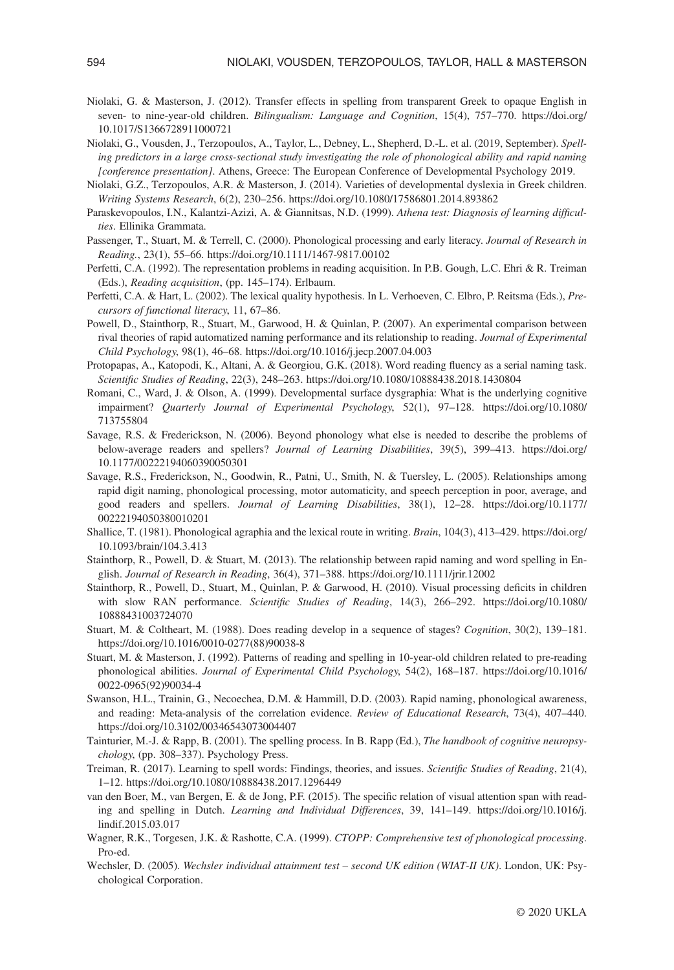- Niolaki, G. & Masterson, J. (2012). Transfer effects in spelling from transparent Greek to opaque English in seven- to nine-year-old children. Bilingualism: Language and Cognition, 15(4), 757-770. [https://doi.org/](https://doi.org/10.1017/S1366728911000721) [10.1017/S1366728911000721](https://doi.org/10.1017/S1366728911000721)
- Niolaki, G., Vousden, J., Terzopoulos, A., Taylor, L., Debney, L., Shepherd, D.‐L. et al. (2019, September). Spelling predictors in a large cross‐sectional study investigating the role of phonological ability and rapid naming [conference presentation]. Athens, Greece: The European Conference of Developmental Psychology 2019.
- Niolaki, G.Z., Terzopoulos, A.R. & Masterson, J. (2014). Varieties of developmental dyslexia in Greek children. Writing Systems Research, 6(2), 230–256. <https://doi.org/10.1080/17586801.2014.893862>
- Paraskevopoulos, I.N., Kalantzi‐Azizi, A. & Giannitsas, N.D. (1999). Athena test: Diagnosis of learning difficulties. Ellinika Grammata.
- Passenger, T., Stuart, M. & Terrell, C. (2000). Phonological processing and early literacy. Journal of Research in Reading., 23(1), 55–66. <https://doi.org/10.1111/1467-9817.00102>
- Perfetti, C.A. (1992). The representation problems in reading acquisition. In P.B. Gough, L.C. Ehri & R. Treiman (Eds.), Reading acquisition, (pp. 145–174). Erlbaum.
- Perfetti, C.A. & Hart, L. (2002). The lexical quality hypothesis. In L. Verhoeven, C. Elbro, P. Reitsma (Eds.), Precursors of functional literacy, 11, 67–86.
- Powell, D., Stainthorp, R., Stuart, M., Garwood, H. & Quinlan, P. (2007). An experimental comparison between rival theories of rapid automatized naming performance and its relationship to reading. Journal of Experimental Child Psychology, 98(1), 46–68. <https://doi.org/10.1016/j.jecp.2007.04.003>
- Protopapas, A., Katopodi, K., Altani, A. & Georgiou, G.K. (2018). Word reading fluency as a serial naming task. Scientific Studies of Reading, 22(3), 248–263. <https://doi.org/10.1080/10888438.2018.1430804>
- Romani, C., Ward, J. & Olson, A. (1999). Developmental surface dysgraphia: What is the underlying cognitive impairment? Quarterly Journal of Experimental Psychology, 52(1), 97–128. [https://doi.org/10.1080/](https://doi.org/10.1080/713755804) [713755804](https://doi.org/10.1080/713755804)
- Savage, R.S. & Frederickson, N. (2006). Beyond phonology what else is needed to describe the problems of below-average readers and spellers? Journal of Learning Disabilities, 39(5), 399-413. [https://doi.org/](https://doi.org/10.1177/00222194060390050301) [10.1177/00222194060390050301](https://doi.org/10.1177/00222194060390050301)
- Savage, R.S., Frederickson, N., Goodwin, R., Patni, U., Smith, N. & Tuersley, L. (2005). Relationships among rapid digit naming, phonological processing, motor automaticity, and speech perception in poor, average, and good readers and spellers. Journal of Learning Disabilities, 38(1), 12–28. [https://doi.org/10.1177/](https://doi.org/10.1177/00222194050380010201) [00222194050380010201](https://doi.org/10.1177/00222194050380010201)
- Shallice, T. (1981). Phonological agraphia and the lexical route in writing. Brain, 104(3), 413–429. [https://doi.org/](https://doi.org/10.1093/brain/104.3.413) [10.1093/brain/104.3.413](https://doi.org/10.1093/brain/104.3.413)
- Stainthorp, R., Powell, D. & Stuart, M. (2013). The relationship between rapid naming and word spelling in English. Journal of Research in Reading, 36(4), 371–388. <https://doi.org/10.1111/jrir.12002>
- Stainthorp, R., Powell, D., Stuart, M., Quinlan, P. & Garwood, H. (2010). Visual processing deficits in children with slow RAN performance. Scientific Studies of Reading, 14(3), 266–292. [https://doi.org/10.1080/](https://doi.org/10.1080/10888431003724070) [10888431003724070](https://doi.org/10.1080/10888431003724070)
- Stuart, M. & Coltheart, M. (1988). Does reading develop in a sequence of stages? Cognition, 30(2), 139–181. [https://doi.org/10.1016/0010-0277\(88\)90038-8](https://doi.org/10.1016/0010-0277(88)90038-8)
- Stuart, M. & Masterson, J. (1992). Patterns of reading and spelling in 10‐year‐old children related to pre‐reading phonological abilities. Journal of Experimental Child Psychology, 54(2), 168–187. [https://doi.org/10.1016/](https://doi.org/10.1016/0022-0965(92)90034-4) [0022-0965\(92\)90034-4](https://doi.org/10.1016/0022-0965(92)90034-4)
- Swanson, H.L., Trainin, G., Necoechea, D.M. & Hammill, D.D. (2003). Rapid naming, phonological awareness, and reading: Meta-analysis of the correlation evidence. Review of Educational Research, 73(4), 407-440. <https://doi.org/10.3102/00346543073004407>
- Tainturier, M.-J. & Rapp, B. (2001). The spelling process. In B. Rapp (Ed.), The handbook of cognitive neuropsychology, (pp. 308–337). Psychology Press.
- Treiman, R. (2017). Learning to spell words: Findings, theories, and issues. Scientific Studies of Reading, 21(4), 1–12. <https://doi.org/10.1080/10888438.2017.1296449>
- van den Boer, M., van Bergen, E. & de Jong, P.F. (2015). The specific relation of visual attention span with reading and spelling in Dutch. Learning and Individual Differences, 39, 141–149. [https://doi.org/10.1016/j.](https://doi.org/10.1016/j.lindif.2015.03.017) [lindif.2015.03.017](https://doi.org/10.1016/j.lindif.2015.03.017)
- Wagner, R.K., Torgesen, J.K. & Rashotte, C.A. (1999). CTOPP: Comprehensive test of phonological processing. Pro‐ed.
- Wechsler, D. (2005). Wechsler individual attainment test second UK edition (WIAT-II UK). London, UK: Psychological Corporation.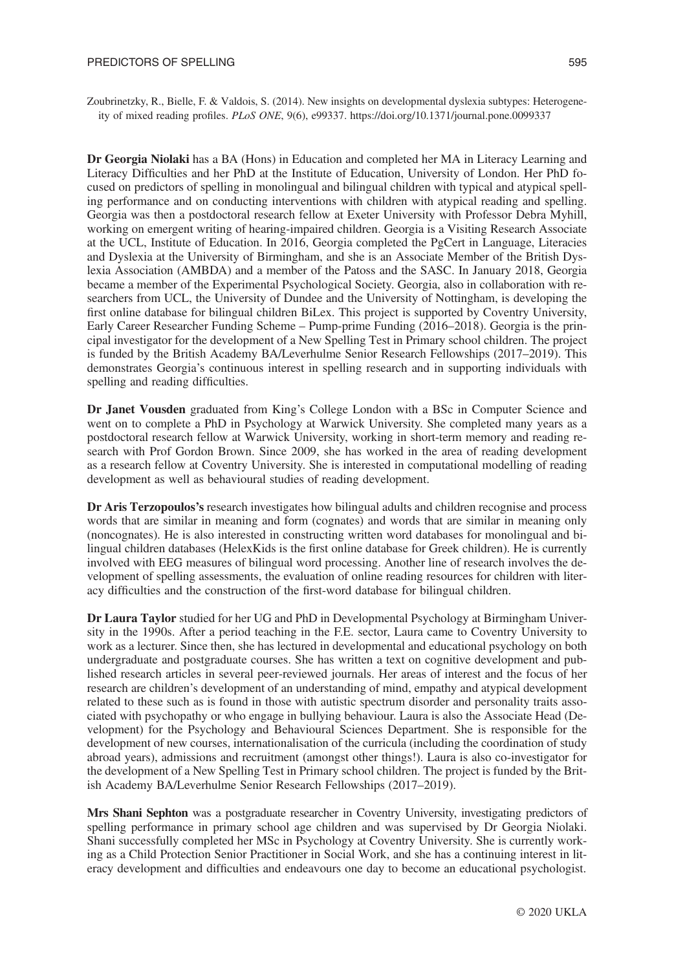Zoubrinetzky, R., Bielle, F. & Valdois, S. (2014). New insights on developmental dyslexia subtypes: Heterogeneity of mixed reading profiles. PLoS ONE, 9(6), e99337. <https://doi.org/10.1371/journal.pone.0099337>

Dr Georgia Niolaki has a BA (Hons) in Education and completed her MA in Literacy Learning and Literacy Difficulties and her PhD at the Institute of Education, University of London. Her PhD focused on predictors of spelling in monolingual and bilingual children with typical and atypical spelling performance and on conducting interventions with children with atypical reading and spelling. Georgia was then a postdoctoral research fellow at Exeter University with Professor Debra Myhill, working on emergent writing of hearing-impaired children. Georgia is a Visiting Research Associate at the UCL, Institute of Education. In 2016, Georgia completed the PgCert in Language, Literacies and Dyslexia at the University of Birmingham, and she is an Associate Member of the British Dyslexia Association (AMBDA) and a member of the Patoss and the SASC. In January 2018, Georgia became a member of the Experimental Psychological Society. Georgia, also in collaboration with researchers from UCL, the University of Dundee and the University of Nottingham, is developing the first online database for bilingual children BiLex. This project is supported by Coventry University, Early Career Researcher Funding Scheme – Pump-prime Funding (2016–2018). Georgia is the principal investigator for the development of a New Spelling Test in Primary school children. The project is funded by the British Academy BA/Leverhulme Senior Research Fellowships (2017–2019). This demonstrates Georgia's continuous interest in spelling research and in supporting individuals with spelling and reading difficulties.

Dr Janet Vousden graduated from King's College London with a BSc in Computer Science and went on to complete a PhD in Psychology at Warwick University. She completed many years as a postdoctoral research fellow at Warwick University, working in short-term memory and reading research with Prof Gordon Brown. Since 2009, she has worked in the area of reading development as a research fellow at Coventry University. She is interested in computational modelling of reading development as well as behavioural studies of reading development.

Dr Aris Terzopoulos's research investigates how bilingual adults and children recognise and process words that are similar in meaning and form (cognates) and words that are similar in meaning only (noncognates). He is also interested in constructing written word databases for monolingual and bilingual children databases (HelexKids is the first online database for Greek children). He is currently involved with EEG measures of bilingual word processing. Another line of research involves the development of spelling assessments, the evaluation of online reading resources for children with literacy difficulties and the construction of the first‐word database for bilingual children.

Dr Laura Taylor studied for her UG and PhD in Developmental Psychology at Birmingham University in the 1990s. After a period teaching in the F.E. sector, Laura came to Coventry University to work as a lecturer. Since then, she has lectured in developmental and educational psychology on both undergraduate and postgraduate courses. She has written a text on cognitive development and published research articles in several peer‐reviewed journals. Her areas of interest and the focus of her research are children's development of an understanding of mind, empathy and atypical development related to these such as is found in those with autistic spectrum disorder and personality traits associated with psychopathy or who engage in bullying behaviour. Laura is also the Associate Head (Development) for the Psychology and Behavioural Sciences Department. She is responsible for the development of new courses, internationalisation of the curricula (including the coordination of study abroad years), admissions and recruitment (amongst other things!). Laura is also co-investigator for the development of a New Spelling Test in Primary school children. The project is funded by the British Academy BA/Leverhulme Senior Research Fellowships (2017–2019).

Mrs Shani Sephton was a postgraduate researcher in Coventry University, investigating predictors of spelling performance in primary school age children and was supervised by Dr Georgia Niolaki. Shani successfully completed her MSc in Psychology at Coventry University. She is currently working as a Child Protection Senior Practitioner in Social Work, and she has a continuing interest in literacy development and difficulties and endeavours one day to become an educational psychologist.